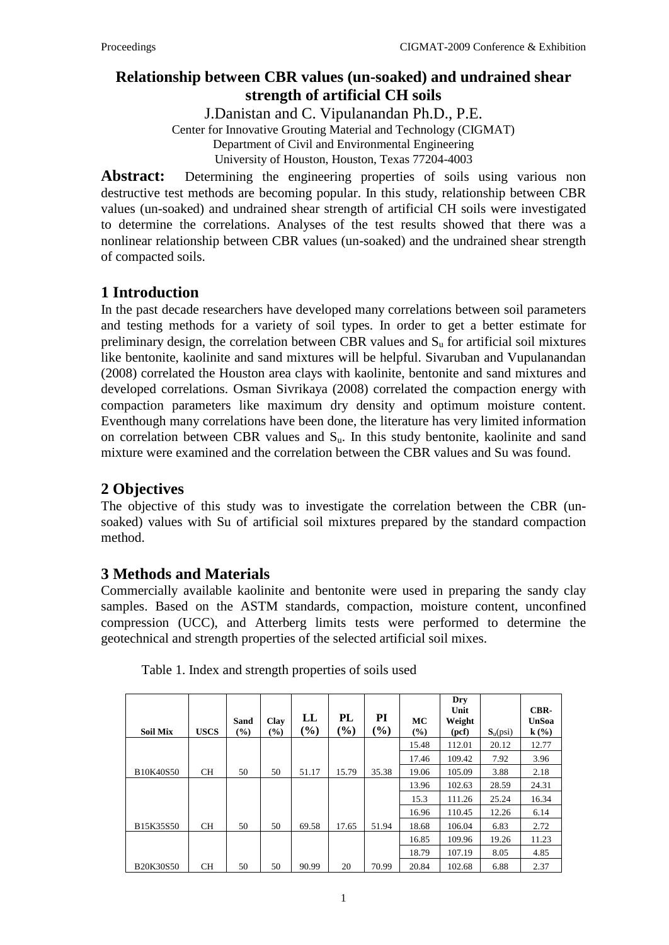## **Relationship between CBR values (un-soaked) and undrained shear strength of artificial CH soils**

J.Danistan and C. Vipulanandan Ph.D., P.E.

Center for Innovative Grouting Material and Technology (CIGMAT)

Department of Civil and Environmental Engineering

University of Houston, Houston, Texas 77204-4003

Abstract: Determining the engineering properties of soils using various non destructive test methods are becoming popular. In this study, relationship between CBR values (un-soaked) and undrained shear strength of artificial CH soils were investigated to determine the correlations. Analyses of the test results showed that there was a nonlinear relationship between CBR values (un-soaked) and the undrained shear strength of compacted soils.

# **1 Introduction**

In the past decade researchers have developed many correlations between soil parameters and testing methods for a variety of soil types. In order to get a better estimate for preliminary design, the correlation between CBR values and  $S<sub>u</sub>$  for artificial soil mixtures like bentonite, kaolinite and sand mixtures will be helpful. Sivaruban and Vupulanandan (2008) correlated the Houston area clays with kaolinite, bentonite and sand mixtures and developed correlations. Osman Sivrikaya (2008) correlated the compaction energy with compaction parameters like maximum dry density and optimum moisture content. Eventhough many correlations have been done, the literature has very limited information on correlation between CBR values and  $S<sub>u</sub>$ . In this study bentonite, kaolinite and sand mixture were examined and the correlation between the CBR values and Su was found.

## **2 Objectives**

The objective of this study was to investigate the correlation between the CBR (unsoaked) values with Su of artificial soil mixtures prepared by the standard compaction method.

## **3 Methods and Materials**

Commercially available kaolinite and bentonite were used in preparing the sandy clay samples. Based on the ASTM standards, compaction, moisture content, unconfined compression (UCC), and Atterberg limits tests were performed to determine the geotechnical and strength properties of the selected artificial soil mixes.

| <b>Soil Mix</b>  | <b>USCS</b> | Sand<br>(%) | Clay<br>$($ %) | $\bf LL$<br>(%) | PL<br>(%) | PI<br>$\mathcal{O}_0$ | MC<br>(%) | Dry<br>Unit<br>Weight<br>(pcf) | $S_u(psi)$ | CBR-<br><b>UnSoa</b><br>$k(\%)$ |
|------------------|-------------|-------------|----------------|-----------------|-----------|-----------------------|-----------|--------------------------------|------------|---------------------------------|
|                  |             |             |                |                 |           |                       | 15.48     | 112.01                         | 20.12      | 12.77                           |
|                  |             |             |                |                 |           |                       | 17.46     | 109.42                         | 7.92       | 3.96                            |
| B10K40S50        | <b>CH</b>   | 50          | 50             | 51.17           | 15.79     | 35.38                 | 19.06     | 105.09                         | 3.88       | 2.18                            |
|                  |             |             |                |                 |           |                       | 13.96     | 102.63                         | 28.59      | 24.31                           |
|                  |             |             |                |                 |           |                       | 15.3      | 111.26                         | 25.24      | 16.34                           |
|                  |             |             |                |                 |           |                       | 16.96     | 110.45                         | 12.26      | 6.14                            |
| B15K35S50        | <b>CH</b>   | 50          | 50             | 69.58           | 17.65     | 51.94                 | 18.68     | 106.04                         | 6.83       | 2.72                            |
|                  |             |             |                |                 |           |                       | 16.85     | 109.96                         | 19.26      | 11.23                           |
|                  |             |             |                |                 |           |                       | 18.79     | 107.19                         | 8.05       | 4.85                            |
| <b>B20K30S50</b> | <b>CH</b>   | 50          | 50             | 90.99           | 20        | 70.99                 | 20.84     | 102.68                         | 6.88       | 2.37                            |

Table 1. Index and strength properties of soils used